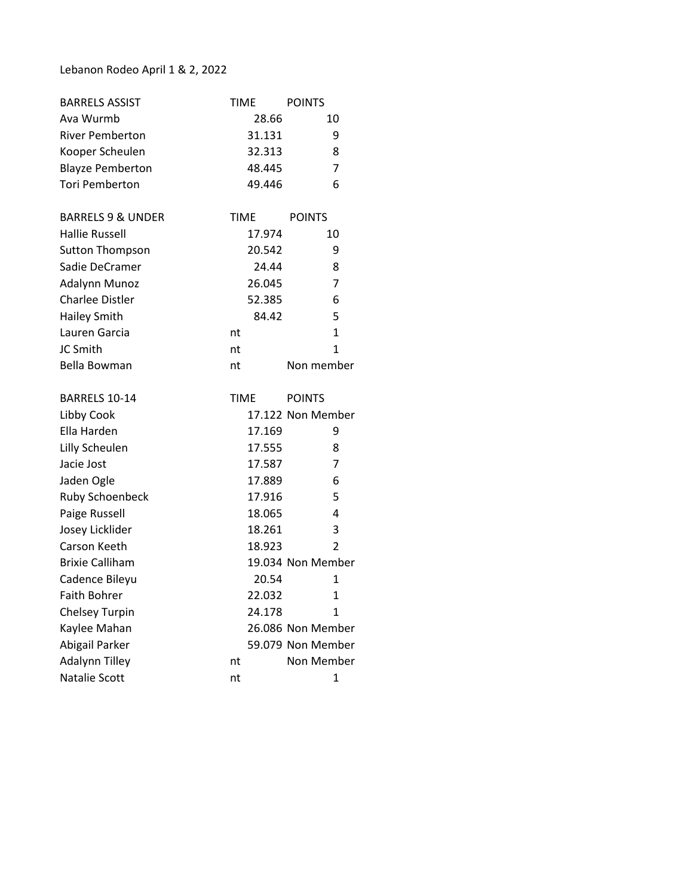## Lebanon Rodeo April 1 & 2, 2022

| <b>BARRELS ASSIST</b>        | <b>TIME</b> | <b>POINTS</b>     |
|------------------------------|-------------|-------------------|
| Ava Wurmb                    | 28.66       | 10                |
| <b>River Pemberton</b>       | 31.131      | 9                 |
| Kooper Scheulen              | 32.313      | 8                 |
| <b>Blayze Pemberton</b>      | 48.445      | 7                 |
| <b>Tori Pemberton</b>        | 49.446      | 6                 |
| <b>BARRELS 9 &amp; UNDER</b> | <b>TIME</b> | <b>POINTS</b>     |
| <b>Hallie Russell</b>        | 17.974      | 10                |
| <b>Sutton Thompson</b>       | 20.542      | 9                 |
| Sadie DeCramer               | 24.44       | 8                 |
| Adalynn Munoz                | 26.045      | 7                 |
| <b>Charlee Distler</b>       | 52.385      | 6                 |
| <b>Hailey Smith</b>          | 84.42       | 5                 |
| Lauren Garcia                | nt          | $\overline{1}$    |
| JC Smith                     | nt          | 1                 |
| Bella Bowman                 | nt          | Non member        |
| <b>BARRELS 10-14</b>         | TIME        | <b>POINTS</b>     |
| Libby Cook                   |             | 17.122 Non Member |
| Ella Harden                  | 17.169      | 9                 |
| Lilly Scheulen               | 17.555      | 8                 |
| Jacie Jost                   | 17.587      | 7                 |
| Jaden Ogle                   | 17.889      | 6                 |
| Ruby Schoenbeck              | 17.916      | 5                 |
| Paige Russell                | 18.065      | 4                 |
| Josey Licklider              | 18.261      | 3                 |
| Carson Keeth                 | 18.923      | 2                 |
| <b>Brixie Calliham</b>       |             | 19.034 Non Member |
| Cadence Bileyu               | 20.54       | 1                 |
| <b>Faith Bohrer</b>          | 22.032      | 1                 |
| <b>Chelsey Turpin</b>        | 24.178      | 1                 |
| Kaylee Mahan                 |             | 26.086 Non Member |
| Abigail Parker               |             | 59.079 Non Member |
| <b>Adalynn Tilley</b>        | nt          | Non Member        |
| Natalie Scott                | nt          | 1                 |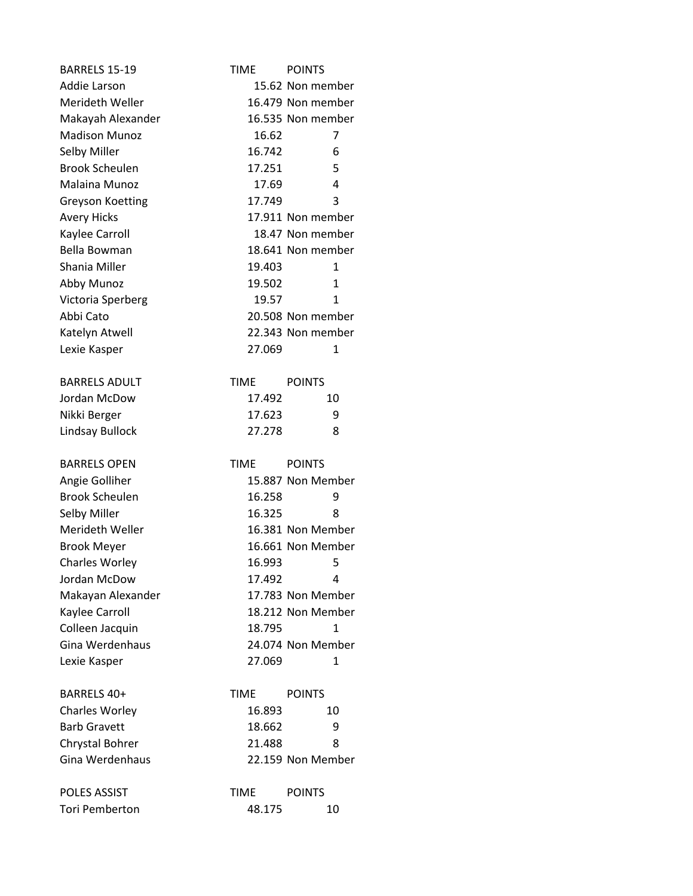| <b>BARRELS 15-19</b>                         | <b>TIME</b> | <b>POINTS</b>     |
|----------------------------------------------|-------------|-------------------|
| Addie Larson                                 |             | 15.62 Non member  |
| Merideth Weller                              |             | 16.479 Non member |
| Makayah Alexander                            |             | 16.535 Non member |
| <b>Madison Munoz</b>                         | 16.62       | 7                 |
| Selby Miller                                 | 16.742      | 6                 |
| <b>Brook Scheulen</b>                        | 17.251      | 5                 |
| <b>Malaina Munoz</b>                         | 17.69       | 4                 |
| <b>Greyson Koetting</b>                      | 17.749      | 3                 |
| <b>Avery Hicks</b>                           |             | 17.911 Non member |
| Kaylee Carroll                               |             | 18.47 Non member  |
| Bella Bowman                                 |             | 18.641 Non member |
| Shania Miller                                | 19.403      | 1                 |
| Abby Munoz                                   | 19.502      | $\mathbf{1}$      |
| Victoria Sperberg                            | 19.57       | 1                 |
| Abbi Cato                                    |             | 20.508 Non member |
| Katelyn Atwell                               |             | 22.343 Non member |
| Lexie Kasper                                 | 27.069      | 1                 |
| <b>BARRELS ADULT</b>                         | TIME        | <b>POINTS</b>     |
| Jordan McDow                                 | 17.492      | 10                |
| Nikki Berger                                 | 17.623      | 9                 |
| Lindsay Bullock                              | 27.278      | 8                 |
|                                              |             |                   |
| <b>BARRELS OPEN</b>                          | <b>TIME</b> | <b>POINTS</b>     |
| Angie Golliher                               |             | 15.887 Non Member |
| <b>Brook Scheulen</b>                        | 16.258      | 9                 |
| Selby Miller                                 | 16.325      | 8                 |
| Merideth Weller                              |             | 16.381 Non Member |
| <b>Brook Meyer</b>                           |             | 16.661 Non Member |
| Charles Worley                               | 16.993      | 5                 |
| Jordan McDow                                 | 17.492      | 4                 |
| Makayan Alexander                            |             | 17.783 Non Member |
| Kaylee Carroll                               |             | 18.212 Non Member |
| Colleen Jacquin                              | 18.795      | 1                 |
| Gina Werdenhaus                              |             | 24.074 Non Member |
| Lexie Kasper                                 | 27.069      | 1                 |
| BARRELS 40+                                  | TIME        | <b>POINTS</b>     |
| <b>Charles Worley</b>                        | 16.893      | 10                |
| <b>Barb Gravett</b>                          | 18.662      | 9                 |
| <b>Chrystal Bohrer</b>                       | 21.488      | 8                 |
| Gina Werdenhaus                              |             | 22.159 Non Member |
| <b>POLES ASSIST</b><br><b>Tori Pemberton</b> | <b>TIME</b> | <b>POINTS</b>     |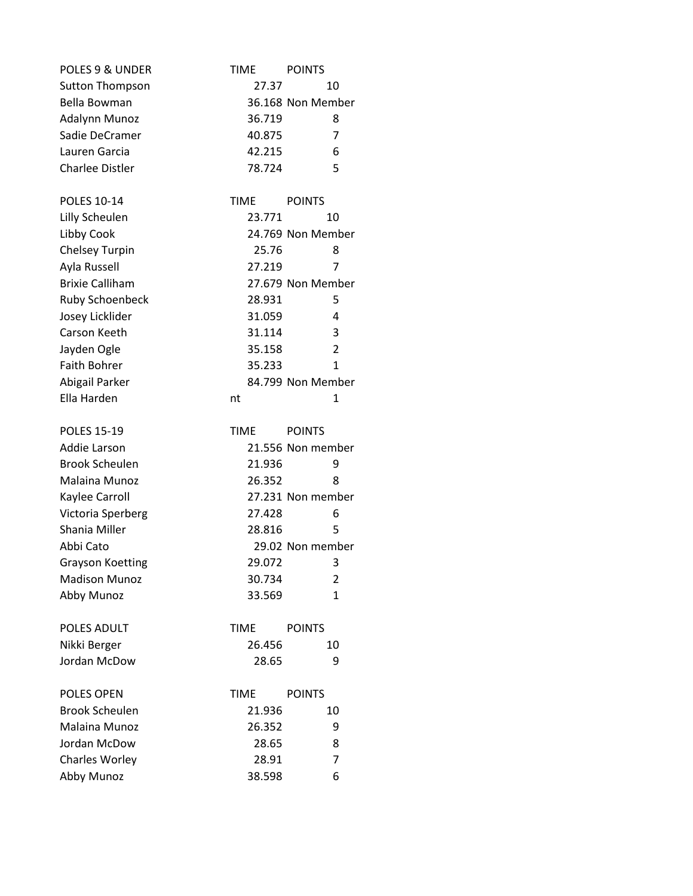| POLES 9 & UNDER         | TIME        | <b>POINTS</b>     |
|-------------------------|-------------|-------------------|
| <b>Sutton Thompson</b>  | 27.37       | 10                |
| Bella Bowman            |             | 36.168 Non Member |
| Adalynn Munoz           | 36.719      | 8                 |
| Sadie DeCramer          | 40.875      | 7                 |
| Lauren Garcia           | 42.215      | 6                 |
| <b>Charlee Distler</b>  | 78.724      | 5                 |
| POLES 10-14             | <b>TIME</b> | <b>POINTS</b>     |
| Lilly Scheulen          | 23.771      | 10                |
| Libby Cook              |             | 24.769 Non Member |
| Chelsey Turpin          | 25.76       | 8                 |
| Ayla Russell            | 27.219      | 7                 |
| <b>Brixie Calliham</b>  |             | 27.679 Non Member |
| Ruby Schoenbeck         | 28.931      | 5                 |
| Josey Licklider         | 31.059      | 4                 |
| Carson Keeth            | 31.114      | 3                 |
| Jayden Ogle             | 35.158      | 2                 |
| <b>Faith Bohrer</b>     | 35.233      | 1                 |
| Abigail Parker          |             | 84.799 Non Member |
| Ella Harden             | nt          | 1                 |
| <b>POLES 15-19</b>      | <b>TIME</b> | <b>POINTS</b>     |
| Addie Larson            |             | 21.556 Non member |
| <b>Brook Scheulen</b>   | 21.936      | 9                 |
| Malaina Munoz           | 26.352      | 8                 |
| Kaylee Carroll          |             | 27.231 Non member |
| Victoria Sperberg       | 27.428      | 6                 |
| Shania Miller           | 28.816      | 5                 |
| Abbi Cato               |             | 29.02 Non member  |
| <b>Grayson Koetting</b> | 29.072      | 3                 |
| <b>Madison Munoz</b>    | 30.734      | 2                 |
| Abby Munoz              | 33.569      | $\mathbf{1}$      |
| POLES ADULT             | <b>TIME</b> | <b>POINTS</b>     |
| Nikki Berger            | 26.456      | 10                |
| Jordan McDow            | 28.65       | 9                 |
| <b>POLES OPEN</b>       | <b>TIME</b> | <b>POINTS</b>     |
| <b>Brook Scheulen</b>   | 21.936      | 10                |
| Malaina Munoz           | 26.352      | 9                 |
| Jordan McDow            | 28.65       | 8                 |
| <b>Charles Worley</b>   | 28.91       | 7                 |
| Abby Munoz              | 38.598      | 6                 |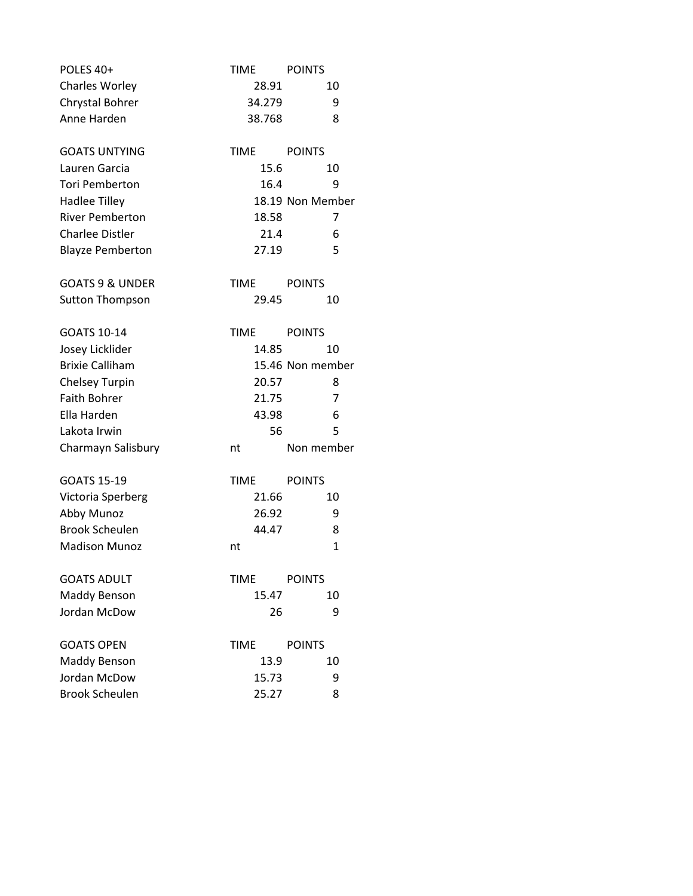| POLES 40+                  | <b>TIME</b> | <b>POINTS</b>    |
|----------------------------|-------------|------------------|
| Charles Worley             | 28.91       | 10               |
| Chrystal Bohrer            | 34.279      | 9                |
| Anne Harden                | 38.768      | 8                |
|                            |             |                  |
| <b>GOATS UNTYING</b>       | <b>TIME</b> | <b>POINTS</b>    |
| Lauren Garcia              | 15.6        | 10               |
| <b>Tori Pemberton</b>      | 16.4        | 9                |
| <b>Hadlee Tilley</b>       |             | 18.19 Non Member |
| <b>River Pemberton</b>     | 18.58       | 7                |
| <b>Charlee Distler</b>     | 21.4        | 6                |
| <b>Blayze Pemberton</b>    | 27.19       | 5                |
| <b>GOATS 9 &amp; UNDER</b> | <b>TIME</b> | <b>POINTS</b>    |
| <b>Sutton Thompson</b>     | 29.45       | 10               |
|                            |             |                  |
| GOATS 10-14                | <b>TIME</b> | <b>POINTS</b>    |
| Josey Licklider            | 14.85       | 10               |
| <b>Brixie Calliham</b>     |             | 15.46 Non member |
| Chelsey Turpin             | 20.57       | 8                |
| <b>Faith Bohrer</b>        | 21.75       | 7                |
| Ella Harden                | 43.98       | 6                |
| Lakota Irwin               | 56          | 5                |
| Charmayn Salisbury         | nt          | Non member       |
| <b>GOATS 15-19</b>         | <b>TIME</b> | <b>POINTS</b>    |
| Victoria Sperberg          | 21.66       | 10               |
| Abby Munoz                 | 26.92       | 9                |
| <b>Brook Scheulen</b>      | 44.47       | 8                |
| <b>Madison Munoz</b>       | nt          | $\mathbf{1}$     |
|                            |             |                  |
| <b>GOATS ADULT</b>         | <b>TIME</b> | <b>POINTS</b>    |
| Maddy Benson               | 15.47       | 10               |
| Jordan McDow               | 26          | 9                |
| <b>GOATS OPEN</b>          | <b>TIME</b> | <b>POINTS</b>    |
| Maddy Benson               | 13.9        | 10               |
| Jordan McDow               | 15.73       | 9                |
| <b>Brook Scheulen</b>      | 25.27       | 8                |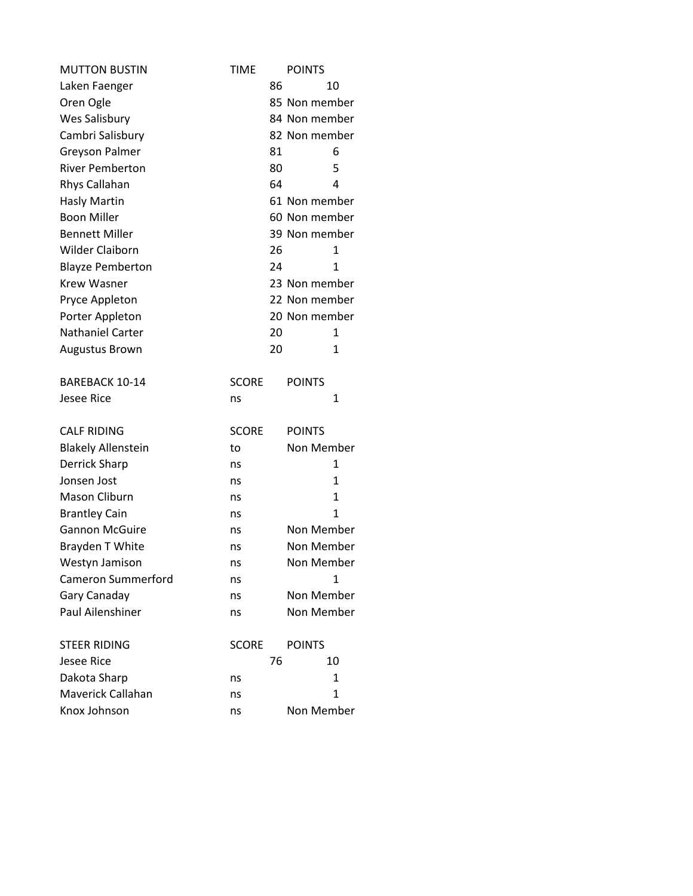| <b>MUTTON BUSTIN</b>      | <b>TIME</b>  |    | <b>POINTS</b> |
|---------------------------|--------------|----|---------------|
| Laken Faenger             |              | 86 | 10            |
| Oren Ogle                 |              |    | 85 Non member |
| Wes Salisbury             |              |    | 84 Non member |
| Cambri Salisbury          |              |    | 82 Non member |
| <b>Greyson Palmer</b>     |              | 81 | 6             |
| <b>River Pemberton</b>    |              | 80 | 5             |
| Rhys Callahan             |              | 64 | 4             |
| <b>Hasly Martin</b>       |              |    | 61 Non member |
| <b>Boon Miller</b>        |              |    | 60 Non member |
| <b>Bennett Miller</b>     |              |    | 39 Non member |
| <b>Wilder Claiborn</b>    |              | 26 | $\mathbf{1}$  |
| <b>Blayze Pemberton</b>   |              | 24 | 1             |
| <b>Krew Wasner</b>        |              |    | 23 Non member |
| Pryce Appleton            |              |    | 22 Non member |
| Porter Appleton           |              |    | 20 Non member |
| <b>Nathaniel Carter</b>   |              | 20 | 1             |
| <b>Augustus Brown</b>     |              | 20 | 1             |
| <b>BAREBACK 10-14</b>     | <b>SCORE</b> |    | <b>POINTS</b> |
| <b>Jesee Rice</b>         | ns           |    | 1             |
| <b>CALF RIDING</b>        | <b>SCORE</b> |    | <b>POINTS</b> |
| <b>Blakely Allenstein</b> | to           |    | Non Member    |
| <b>Derrick Sharp</b>      | ns           |    | 1             |
| Jonsen Jost               | ns           |    | 1             |
| Mason Cliburn             | ns           |    | 1             |
| <b>Brantley Cain</b>      | ns           |    | $\mathbf{1}$  |
| <b>Gannon McGuire</b>     | ns           |    | Non Member    |
| Brayden T White           | ns           |    | Non Member    |
| Westyn Jamison            | ns           |    | Non Member    |
| <b>Cameron Summerford</b> | ns           |    | 1             |
| Gary Canaday              | ns           |    | Non Member    |
| Paul Ailenshiner          | ns           |    | Non Member    |
| <b>STEER RIDING</b>       | <b>SCORE</b> |    | <b>POINTS</b> |
| <b>Jesee Rice</b>         |              | 76 | 10            |
| Dakota Sharp              | ns           |    | 1             |
| Maverick Callahan         |              |    |               |
|                           | ns           |    | $\mathbf{1}$  |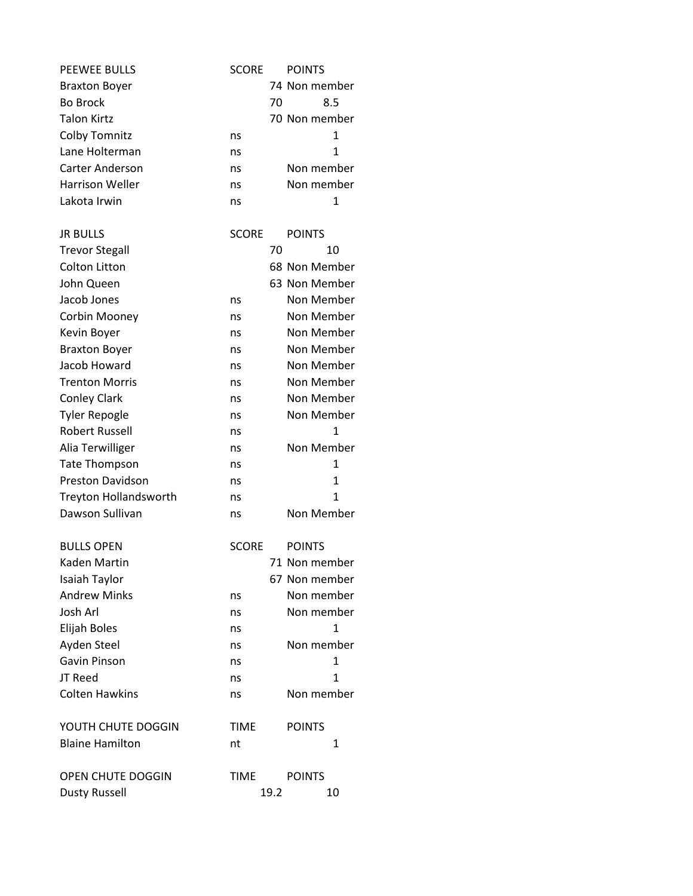| <b>PEEWEE BULLS</b>          | <b>SCORE</b> |      | <b>POINTS</b> |
|------------------------------|--------------|------|---------------|
| <b>Braxton Boyer</b>         |              |      | 74 Non member |
| <b>Bo Brock</b>              |              | 70   | 8.5           |
| <b>Talon Kirtz</b>           |              |      | 70 Non member |
| <b>Colby Tomnitz</b>         | ns           |      | 1             |
| Lane Holterman               | ns           |      | $\mathbf{1}$  |
| <b>Carter Anderson</b>       | ns           |      | Non member    |
| <b>Harrison Weller</b>       | ns           |      | Non member    |
| Lakota Irwin                 | ns           |      | 1             |
| <b>JR BULLS</b>              | <b>SCORE</b> |      | <b>POINTS</b> |
| <b>Trevor Stegall</b>        |              | 70   | 10            |
| Colton Litton                |              |      | 68 Non Member |
| John Queen                   |              |      | 63 Non Member |
| Jacob Jones                  | ns           |      | Non Member    |
| Corbin Mooney                | ns           |      | Non Member    |
| Kevin Boyer                  | ns           |      | Non Member    |
| <b>Braxton Boyer</b>         | ns           |      | Non Member    |
| Jacob Howard                 | ns           |      | Non Member    |
| <b>Trenton Morris</b>        | ns           |      | Non Member    |
| <b>Conley Clark</b>          | ns           |      | Non Member    |
| <b>Tyler Repogle</b>         | ns           |      | Non Member    |
| <b>Robert Russell</b>        | ns           |      | $\mathbf{1}$  |
| Alia Terwilliger             | ns           |      | Non Member    |
| <b>Tate Thompson</b>         | ns           |      | $\mathbf{1}$  |
| <b>Preston Davidson</b>      | ns           |      | $\mathbf{1}$  |
| <b>Treyton Hollandsworth</b> | ns           |      | 1             |
| Dawson Sullivan              | ns           |      | Non Member    |
| <b>BULLS OPEN</b>            | <b>SCORE</b> |      | <b>POINTS</b> |
| Kaden Martin                 |              |      | 71 Non member |
| Isaiah Taylor                |              |      | 67 Non member |
| <b>Andrew Minks</b>          | ns           |      | Non member    |
| Josh Arl                     | ns           |      | Non member    |
| Elijah Boles                 | ns           |      | 1             |
| Ayden Steel                  | ns           |      | Non member    |
| Gavin Pinson                 | ns           |      | $\mathbf{1}$  |
| JT Reed                      | ns           |      | $\mathbf{1}$  |
| <b>Colten Hawkins</b>        | ns           |      | Non member    |
| YOUTH CHUTE DOGGIN           | <b>TIME</b>  |      | <b>POINTS</b> |
| <b>Blaine Hamilton</b>       | nt           |      | 1             |
|                              |              |      |               |
| OPEN CHUTE DOGGIN            | <b>TIME</b>  |      | <b>POINTS</b> |
| <b>Dusty Russell</b>         |              | 19.2 | 10            |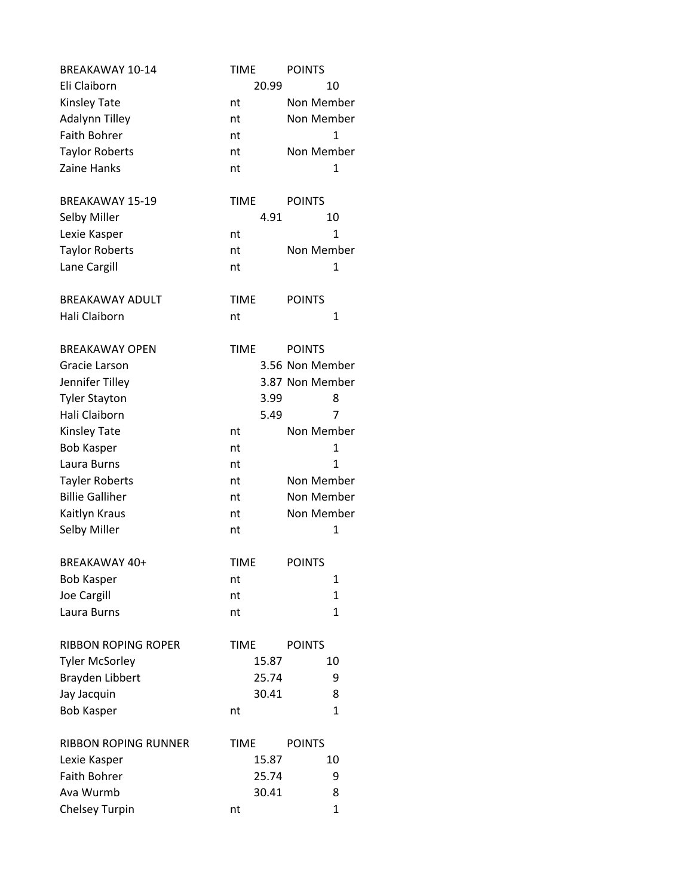| <b>BREAKAWAY 10-14</b>      | <b>TIME</b> |       | <b>POINTS</b>   |
|-----------------------------|-------------|-------|-----------------|
| Eli Claiborn                |             | 20.99 | 10              |
| Kinsley Tate                | nt          |       | Non Member      |
| <b>Adalynn Tilley</b>       | nt          |       | Non Member      |
| Faith Bohrer                | nt          |       | 1               |
| <b>Taylor Roberts</b>       | nt          |       | Non Member      |
| Zaine Hanks                 | nt          |       | 1               |
|                             |             |       |                 |
| <b>BREAKAWAY 15-19</b>      | <b>TIME</b> |       | <b>POINTS</b>   |
| Selby Miller                |             | 4.91  | 10              |
| Lexie Kasper                | nt          |       | 1               |
| <b>Taylor Roberts</b>       | nt          |       | Non Member      |
| Lane Cargill                | nt          |       | 1               |
|                             |             |       |                 |
| <b>BREAKAWAY ADULT</b>      | <b>TIME</b> |       | <b>POINTS</b>   |
| Hali Claiborn               | nt          |       | 1               |
|                             |             |       |                 |
| <b>BREAKAWAY OPEN</b>       | <b>TIME</b> |       | <b>POINTS</b>   |
| Gracie Larson               |             |       | 3.56 Non Member |
| Jennifer Tilley             |             |       | 3.87 Non Member |
| <b>Tyler Stayton</b>        |             | 3.99  | 8               |
| Hali Claiborn               |             | 5.49  | 7               |
| <b>Kinsley Tate</b>         | nt          |       | Non Member      |
| <b>Bob Kasper</b>           | nt          |       | 1               |
| Laura Burns                 | nt          |       | 1               |
| <b>Tayler Roberts</b>       | nt          |       | Non Member      |
| <b>Billie Galliher</b>      | nt          |       | Non Member      |
| Kaitlyn Kraus               | nt          |       | Non Member      |
| Selby Miller                | nt          |       | 1               |
|                             |             |       |                 |
| BREAKAWAY 40+               | <b>TIME</b> |       | <b>POINTS</b>   |
| <b>Bob Kasper</b>           | nt          |       | 1               |
| Joe Cargill                 | nt          |       | $\mathbf{1}$    |
| Laura Burns                 | nt          |       | $\mathbf{1}$    |
| <b>RIBBON ROPING ROPER</b>  | <b>TIME</b> |       | <b>POINTS</b>   |
| <b>Tyler McSorley</b>       |             | 15.87 | 10              |
| Brayden Libbert             |             | 25.74 | 9               |
| Jay Jacquin                 |             | 30.41 | 8               |
| <b>Bob Kasper</b>           |             |       | $\mathbf{1}$    |
|                             | nt          |       |                 |
| <b>RIBBON ROPING RUNNER</b> | <b>TIME</b> |       | <b>POINTS</b>   |
| Lexie Kasper                |             | 15.87 | 10              |
| <b>Faith Bohrer</b>         |             | 25.74 | 9               |
| Ava Wurmb                   |             | 30.41 | 8               |
| Chelsey Turpin              | nt          |       | 1               |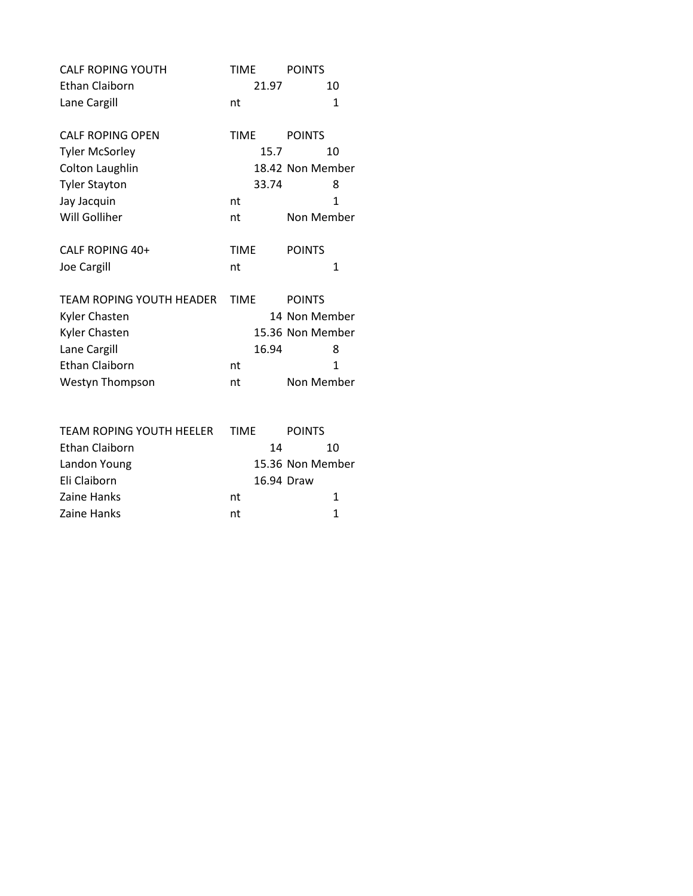| <b>CALF ROPING YOUTH</b>        | <b>TIME</b> | <b>POINTS</b>    |
|---------------------------------|-------------|------------------|
| Ethan Claiborn                  | 21.97       | 10               |
| Lane Cargill                    | nt          | 1                |
| <b>CALF ROPING OPEN</b>         | <b>TIME</b> | <b>POINTS</b>    |
| <b>Tyler McSorley</b>           | 15.7        | 10               |
| Colton Laughlin                 |             | 18.42 Non Member |
| <b>Tyler Stayton</b>            | 33.74       | 8                |
| Jay Jacquin                     | nt          | $\mathbf{1}$     |
| Will Golliher                   | nt          | Non Member       |
| CALF ROPING 40+                 | <b>TIME</b> | <b>POINTS</b>    |
| <b>Joe Cargill</b>              | nt          | 1                |
| <b>TEAM ROPING YOUTH HEADER</b> | <b>TIME</b> | <b>POINTS</b>    |
| <b>Kyler Chasten</b>            |             | 14 Non Member    |
| Kyler Chasten                   |             | 15.36 Non Member |
| Lane Cargill                    | 16.94       | 8                |
| <b>Ethan Claiborn</b>           | nt          | 1                |
| Westyn Thompson                 | nt          | Non Member       |
| <b>TEAM ROPING YOUTH HEELER</b> | <b>TIME</b> | <b>POINTS</b>    |
| Ethan Claiborn                  | 14          | 10               |
|                                 |             |                  |

| Ethan Claiborn    | 14<br>10         |
|-------------------|------------------|
| Landon Young      | 15.36 Non Member |
| Eli Claiborn      | 16.94 Draw       |
| Zaine Hanks<br>nt |                  |
| Zaine Hanks<br>nt |                  |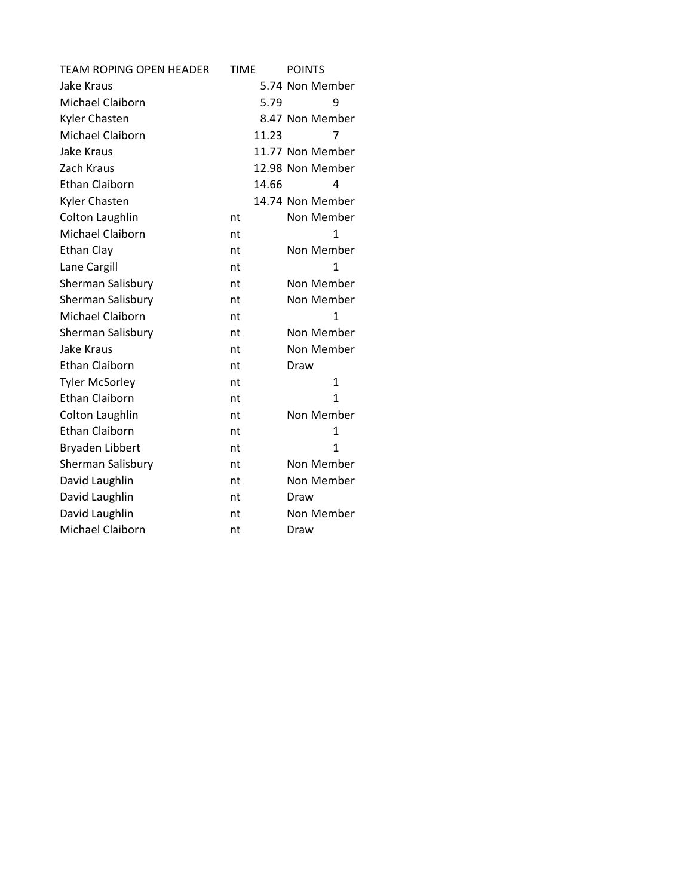| <b>TEAM ROPING OPEN HEADER</b> | <b>TIME</b> | <b>POINTS</b>    |
|--------------------------------|-------------|------------------|
| Jake Kraus                     |             | 5.74 Non Member  |
| Michael Claiborn               | 5.79        | 9                |
| <b>Kyler Chasten</b>           |             | 8.47 Non Member  |
| Michael Claiborn               | 11.23       | 7                |
| Jake Kraus                     |             | 11.77 Non Member |
| Zach Kraus                     |             | 12.98 Non Member |
| <b>Ethan Claiborn</b>          | 14.66       | 4                |
| Kyler Chasten                  |             | 14.74 Non Member |
| <b>Colton Laughlin</b>         | nt          | Non Member       |
| Michael Claiborn               | nt          | 1                |
| <b>Ethan Clay</b>              | nt          | Non Member       |
| Lane Cargill                   | nt          | $\mathbf{1}$     |
| Sherman Salisbury              | nt          | Non Member       |
| Sherman Salisbury              | nt          | Non Member       |
| Michael Claiborn               | nt          | 1                |
| Sherman Salisbury              | nt          | Non Member       |
| Jake Kraus                     | nt          | Non Member       |
| <b>Ethan Claiborn</b>          | nt          | Draw             |
| <b>Tyler McSorley</b>          | nt          | $\mathbf{1}$     |
| <b>Ethan Claiborn</b>          | nt          | $\mathbf{1}$     |
| Colton Laughlin                | nt          | Non Member       |
| <b>Ethan Claiborn</b>          | nt          | $\mathbf{1}$     |
| Bryaden Libbert                | nt          | 1                |
| Sherman Salisbury              | nt          | Non Member       |
| David Laughlin                 | nt          | Non Member       |
| David Laughlin                 | nt          | Draw             |
| David Laughlin                 | nt          | Non Member       |
| Michael Claiborn               | nt          | Draw             |